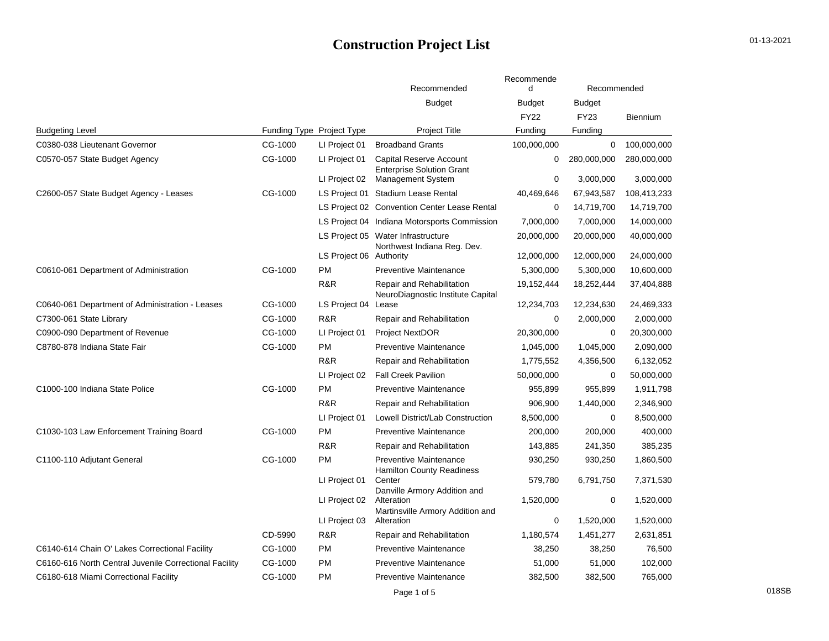## **Construction Project List**

|  | 01-13-2021 |  |
|--|------------|--|
|--|------------|--|

|                                                        |                           |                         |                                                                   | Recommende    |               |             |
|--------------------------------------------------------|---------------------------|-------------------------|-------------------------------------------------------------------|---------------|---------------|-------------|
|                                                        |                           |                         | Recommended                                                       | d             | Recommended   |             |
|                                                        |                           |                         | <b>Budget</b>                                                     | <b>Budget</b> | <b>Budget</b> |             |
|                                                        |                           |                         |                                                                   | <b>FY22</b>   | <b>FY23</b>   | Biennium    |
| <b>Budgeting Level</b>                                 | Funding Type Project Type |                         | <b>Project Title</b>                                              | Funding       | Funding       |             |
| C0380-038 Lieutenant Governor                          | CG-1000                   | LI Project 01           | <b>Broadband Grants</b>                                           | 100,000,000   | 0             | 100,000,000 |
| C0570-057 State Budget Agency                          | CG-1000                   | LI Project 01           | <b>Capital Reserve Account</b>                                    | 0             | 280,000,000   | 280,000,000 |
|                                                        |                           | LI Project 02           | <b>Enterprise Solution Grant</b><br><b>Management System</b>      | 0             | 3,000,000     | 3,000,000   |
| C2600-057 State Budget Agency - Leases                 | CG-1000                   |                         | LS Project 01 Stadium Lease Rental                                | 40,469,646    | 67,943,587    | 108,413,233 |
|                                                        |                           |                         | LS Project 02 Convention Center Lease Rental                      | $\mathbf 0$   | 14,719,700    | 14,719,700  |
|                                                        |                           |                         | LS Project 04 Indiana Motorsports Commission                      | 7,000,000     | 7,000,000     | 14,000,000  |
|                                                        |                           |                         | LS Project 05 Water Infrastructure<br>Northwest Indiana Reg. Dev. | 20,000,000    | 20,000,000    | 40,000,000  |
|                                                        |                           | LS Project 06 Authority |                                                                   | 12,000,000    | 12,000,000    | 24,000,000  |
| C0610-061 Department of Administration                 | CG-1000                   | PM                      | <b>Preventive Maintenance</b>                                     | 5,300,000     | 5,300,000     | 10,600,000  |
|                                                        |                           | R&R                     | Repair and Rehabilitation<br>NeuroDiagnostic Institute Capital    | 19,152,444    | 18,252,444    | 37,404,888  |
| C0640-061 Department of Administration - Leases        | CG-1000                   | LS Project 04           | Lease                                                             | 12,234,703    | 12,234,630    | 24,469,333  |
| C7300-061 State Library                                | CG-1000                   | R&R                     | Repair and Rehabilitation                                         | 0             | 2,000,000     | 2,000,000   |
| C0900-090 Department of Revenue                        | CG-1000                   | LI Project 01           | <b>Project NextDOR</b>                                            | 20,300,000    | 0             | 20,300,000  |
| C8780-878 Indiana State Fair                           | CG-1000                   | <b>PM</b>               | <b>Preventive Maintenance</b>                                     | 1,045,000     | 1,045,000     | 2,090,000   |
|                                                        |                           | R&R                     | Repair and Rehabilitation                                         | 1,775,552     | 4,356,500     | 6,132,052   |
|                                                        |                           | LI Project 02           | <b>Fall Creek Pavilion</b>                                        | 50,000,000    | 0             | 50,000,000  |
| C1000-100 Indiana State Police                         | CG-1000                   | <b>PM</b>               | <b>Preventive Maintenance</b>                                     | 955,899       | 955,899       | 1,911,798   |
|                                                        |                           | R&R                     | Repair and Rehabilitation                                         | 906,900       | 1,440,000     | 2,346,900   |
|                                                        |                           | LI Project 01           | Lowell District/Lab Construction                                  | 8,500,000     | 0             | 8,500,000   |
| C1030-103 Law Enforcement Training Board               | CG-1000                   | <b>PM</b>               | <b>Preventive Maintenance</b>                                     | 200,000       | 200,000       | 400,000     |
|                                                        |                           | R&R                     | Repair and Rehabilitation                                         | 143,885       | 241,350       | 385,235     |
| C1100-110 Adjutant General                             | CG-1000                   | <b>PM</b>               | <b>Preventive Maintenance</b><br><b>Hamilton County Readiness</b> | 930,250       | 930,250       | 1,860,500   |
|                                                        |                           | LI Project 01           | Center                                                            | 579,780       | 6,791,750     | 7,371,530   |
|                                                        |                           | LI Project 02           | Danville Armory Addition and<br>Alteration                        | 1,520,000     | 0             | 1,520,000   |
|                                                        |                           | LI Project 03           | Martinsville Armory Addition and<br>Alteration                    | 0             | 1,520,000     | 1,520,000   |
|                                                        | CD-5990                   | R&R                     | Repair and Rehabilitation                                         | 1,180,574     | 1,451,277     | 2,631,851   |
| C6140-614 Chain O' Lakes Correctional Facility         | CG-1000                   | <b>PM</b>               | <b>Preventive Maintenance</b>                                     | 38,250        | 38,250        | 76,500      |
| C6160-616 North Central Juvenile Correctional Facility | CG-1000                   | <b>PM</b>               | <b>Preventive Maintenance</b>                                     | 51,000        | 51,000        | 102,000     |
| C6180-618 Miami Correctional Facility                  | CG-1000                   | <b>PM</b>               | <b>Preventive Maintenance</b>                                     | 382,500       | 382,500       | 765,000     |
|                                                        |                           |                         | Page 1 of 5                                                       |               |               |             |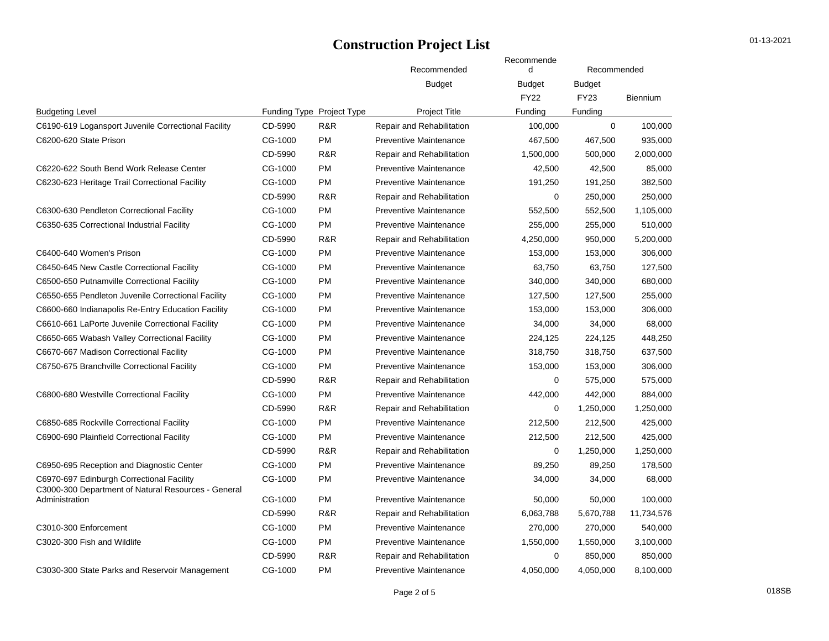|                                                     |                           |           | Recommended                   | Recommende<br>d | Recommended   |            |  |
|-----------------------------------------------------|---------------------------|-----------|-------------------------------|-----------------|---------------|------------|--|
|                                                     |                           |           | <b>Budget</b>                 | <b>Budget</b>   | <b>Budget</b> |            |  |
|                                                     |                           |           |                               | <b>FY22</b>     | <b>FY23</b>   | Biennium   |  |
| <b>Budgeting Level</b>                              | Funding Type Project Type |           | <b>Project Title</b>          | Funding         | Funding       |            |  |
| C6190-619 Logansport Juvenile Correctional Facility | CD-5990                   | R&R       | Repair and Rehabilitation     | 100,000         | $\Omega$      | 100,000    |  |
| C6200-620 State Prison                              | CG-1000                   | <b>PM</b> | <b>Preventive Maintenance</b> | 467,500         | 467,500       | 935,000    |  |
|                                                     | CD-5990                   | R&R       | Repair and Rehabilitation     | 1,500,000       | 500,000       | 2,000,000  |  |
| C6220-622 South Bend Work Release Center            | CG-1000                   | PM        | <b>Preventive Maintenance</b> | 42,500          | 42,500        | 85,000     |  |
| C6230-623 Heritage Trail Correctional Facility      | CG-1000                   | PM        | <b>Preventive Maintenance</b> | 191,250         | 191,250       | 382,500    |  |
|                                                     | CD-5990                   | R&R       | Repair and Rehabilitation     | $\mathbf 0$     | 250,000       | 250,000    |  |
| C6300-630 Pendleton Correctional Facility           | CG-1000                   | PM        | <b>Preventive Maintenance</b> | 552,500         | 552,500       | 1,105,000  |  |
| C6350-635 Correctional Industrial Facility          | CG-1000                   | <b>PM</b> | <b>Preventive Maintenance</b> | 255,000         | 255,000       | 510,000    |  |
|                                                     | CD-5990                   | R&R       | Repair and Rehabilitation     | 4,250,000       | 950,000       | 5,200,000  |  |
| C6400-640 Women's Prison                            | CG-1000                   | <b>PM</b> | <b>Preventive Maintenance</b> | 153,000         | 153,000       | 306,000    |  |
| C6450-645 New Castle Correctional Facility          | CG-1000                   | PM        | <b>Preventive Maintenance</b> | 63,750          | 63,750        | 127,500    |  |
| C6500-650 Putnamville Correctional Facility         | CG-1000                   | PM        | <b>Preventive Maintenance</b> | 340,000         | 340,000       | 680,000    |  |
| C6550-655 Pendleton Juvenile Correctional Facility  | CG-1000                   | PM        | <b>Preventive Maintenance</b> | 127,500         | 127,500       | 255,000    |  |
| C6600-660 Indianapolis Re-Entry Education Facility  | CG-1000                   | PM        | <b>Preventive Maintenance</b> | 153,000         | 153,000       | 306,000    |  |
| C6610-661 LaPorte Juvenile Correctional Facility    | CG-1000                   | <b>PM</b> | <b>Preventive Maintenance</b> | 34,000          | 34,000        | 68,000     |  |
| C6650-665 Wabash Valley Correctional Facility       | CG-1000                   | <b>PM</b> | <b>Preventive Maintenance</b> | 224,125         | 224,125       | 448,250    |  |
| C6670-667 Madison Correctional Facility             | CG-1000                   | <b>PM</b> | <b>Preventive Maintenance</b> | 318,750         | 318,750       | 637,500    |  |
| C6750-675 Branchville Correctional Facility         | CG-1000                   | <b>PM</b> | <b>Preventive Maintenance</b> | 153,000         | 153,000       | 306,000    |  |
|                                                     | CD-5990                   | R&R       | Repair and Rehabilitation     | $\mathbf 0$     | 575,000       | 575,000    |  |
| C6800-680 Westville Correctional Facility           | CG-1000                   | PM        | <b>Preventive Maintenance</b> | 442,000         | 442,000       | 884,000    |  |
|                                                     | CD-5990                   | R&R       | Repair and Rehabilitation     | 0               | 1,250,000     | 1,250,000  |  |
| C6850-685 Rockville Correctional Facility           | CG-1000                   | PM        | <b>Preventive Maintenance</b> | 212,500         | 212,500       | 425,000    |  |
| C6900-690 Plainfield Correctional Facility          | CG-1000                   | PM        | <b>Preventive Maintenance</b> | 212,500         | 212,500       | 425,000    |  |
|                                                     | CD-5990                   | R&R       | Repair and Rehabilitation     | 0               | 1,250,000     | 1,250,000  |  |
| C6950-695 Reception and Diagnostic Center           | CG-1000                   | <b>PM</b> | <b>Preventive Maintenance</b> | 89,250          | 89,250        | 178,500    |  |
| C6970-697 Edinburgh Correctional Facility           | CG-1000                   | <b>PM</b> | <b>Preventive Maintenance</b> | 34,000          | 34,000        | 68,000     |  |
| C3000-300 Department of Natural Resources - General |                           |           |                               |                 |               |            |  |
| Administration                                      | CG-1000                   | PM        | <b>Preventive Maintenance</b> | 50,000          | 50,000        | 100,000    |  |
|                                                     | CD-5990                   | R&R       | Repair and Rehabilitation     | 6,063,788       | 5,670,788     | 11,734,576 |  |
| C3010-300 Enforcement                               | CG-1000                   | <b>PM</b> | <b>Preventive Maintenance</b> | 270,000         | 270,000       | 540,000    |  |
| C3020-300 Fish and Wildlife                         | CG-1000                   | <b>PM</b> | <b>Preventive Maintenance</b> | 1,550,000       | 1,550,000     | 3,100,000  |  |
|                                                     | CD-5990                   | R&R       | Repair and Rehabilitation     | 0               | 850,000       | 850,000    |  |
| C3030-300 State Parks and Reservoir Management      | CG-1000                   | <b>PM</b> | <b>Preventive Maintenance</b> | 4,050,000       | 4,050,000     | 8,100,000  |  |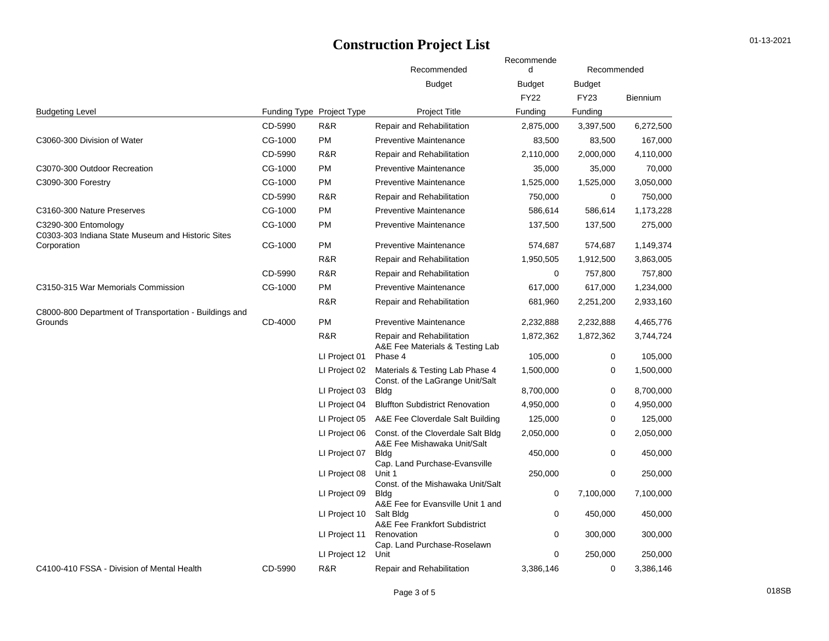|                                                                           |                           |               | Recommended                                                         | Recommende<br>d | Recommended   |                 |  |
|---------------------------------------------------------------------------|---------------------------|---------------|---------------------------------------------------------------------|-----------------|---------------|-----------------|--|
|                                                                           |                           |               | <b>Budget</b>                                                       | Budget          | <b>Budget</b> |                 |  |
|                                                                           |                           |               |                                                                     | <b>FY22</b>     | <b>FY23</b>   | <b>Biennium</b> |  |
| <b>Budgeting Level</b>                                                    | Funding Type Project Type |               | <b>Project Title</b>                                                | Funding         | Funding       |                 |  |
|                                                                           | CD-5990                   | R&R           | Repair and Rehabilitation                                           | 2,875,000       | 3,397,500     | 6,272,500       |  |
| C3060-300 Division of Water                                               | CG-1000                   | <b>PM</b>     | <b>Preventive Maintenance</b>                                       | 83,500          | 83,500        | 167,000         |  |
|                                                                           | CD-5990                   | R&R           | Repair and Rehabilitation                                           | 2,110,000       | 2,000,000     | 4,110,000       |  |
| C3070-300 Outdoor Recreation                                              | CG-1000                   | <b>PM</b>     | <b>Preventive Maintenance</b>                                       | 35,000          | 35,000        | 70,000          |  |
| C3090-300 Forestry                                                        | CG-1000                   | <b>PM</b>     | <b>Preventive Maintenance</b>                                       | 1,525,000       | 1,525,000     | 3,050,000       |  |
|                                                                           | CD-5990                   | R&R           | Repair and Rehabilitation                                           | 750,000         | 0             | 750,000         |  |
| C3160-300 Nature Preserves                                                | CG-1000                   | <b>PM</b>     | <b>Preventive Maintenance</b>                                       | 586,614         | 586,614       | 1,173,228       |  |
| C3290-300 Entomology<br>C0303-303 Indiana State Museum and Historic Sites | CG-1000                   | <b>PM</b>     | <b>Preventive Maintenance</b>                                       | 137,500         | 137,500       | 275,000         |  |
| Corporation                                                               | CG-1000                   | <b>PM</b>     | <b>Preventive Maintenance</b>                                       | 574,687         | 574,687       | 1,149,374       |  |
|                                                                           |                           | R&R           | Repair and Rehabilitation                                           | 1,950,505       | 1,912,500     | 3,863,005       |  |
|                                                                           | CD-5990                   | R&R           | Repair and Rehabilitation                                           | 0               | 757,800       | 757,800         |  |
| C3150-315 War Memorials Commission                                        | CG-1000                   | <b>PM</b>     | <b>Preventive Maintenance</b>                                       | 617,000         | 617,000       | 1,234,000       |  |
|                                                                           |                           | R&R           | Repair and Rehabilitation                                           | 681,960         | 2,251,200     | 2,933,160       |  |
| C8000-800 Department of Transportation - Buildings and<br>Grounds         | CD-4000                   | <b>PM</b>     | <b>Preventive Maintenance</b>                                       | 2,232,888       | 2,232,888     | 4,465,776       |  |
|                                                                           |                           | R&R           | Repair and Rehabilitation                                           | 1,872,362       | 1,872,362     | 3,744,724       |  |
|                                                                           |                           | LI Project 01 | A&E Fee Materials & Testing Lab<br>Phase 4                          | 105,000         | 0             | 105,000         |  |
|                                                                           |                           | LI Project 02 | Materials & Testing Lab Phase 4<br>Const. of the LaGrange Unit/Salt | 1,500,000       | 0             | 1,500,000       |  |
|                                                                           |                           | LI Project 03 | Bldg                                                                | 8,700,000       | 0             | 8,700,000       |  |
|                                                                           |                           | LI Project 04 | <b>Bluffton Subdistrict Renovation</b>                              | 4,950,000       | $\mathbf 0$   | 4,950,000       |  |
|                                                                           |                           | LI Project 05 | A&E Fee Cloverdale Salt Building                                    | 125,000         | 0             | 125,000         |  |
|                                                                           |                           | LI Project 06 | Const. of the Cloverdale Salt Bldg<br>A&E Fee Mishawaka Unit/Salt   | 2,050,000       | 0             | 2,050,000       |  |
|                                                                           |                           | LI Project 07 | <b>Bldg</b><br>Cap. Land Purchase-Evansville                        | 450,000         | $\mathbf 0$   | 450,000         |  |
|                                                                           |                           | LI Project 08 | Unit 1<br>Const. of the Mishawaka Unit/Salt                         | 250,000         | 0             | 250,000         |  |
|                                                                           |                           | LI Project 09 | <b>Bldg</b><br>A&E Fee for Evansville Unit 1 and                    | 0               | 7,100,000     | 7,100,000       |  |
|                                                                           |                           | LI Project 10 | Salt Bldg<br>A&E Fee Frankfort Subdistrict                          | 0               | 450,000       | 450,000         |  |
|                                                                           |                           | LI Project 11 | Renovation<br>Cap. Land Purchase-Roselawn                           | 0               | 300,000       | 300,000         |  |
|                                                                           |                           | LI Project 12 | Unit                                                                | 0               | 250,000       | 250,000         |  |
| C4100-410 FSSA - Division of Mental Health                                | CD-5990                   | R&R           | Repair and Rehabilitation                                           | 3,386,146       | 0             | 3,386,146       |  |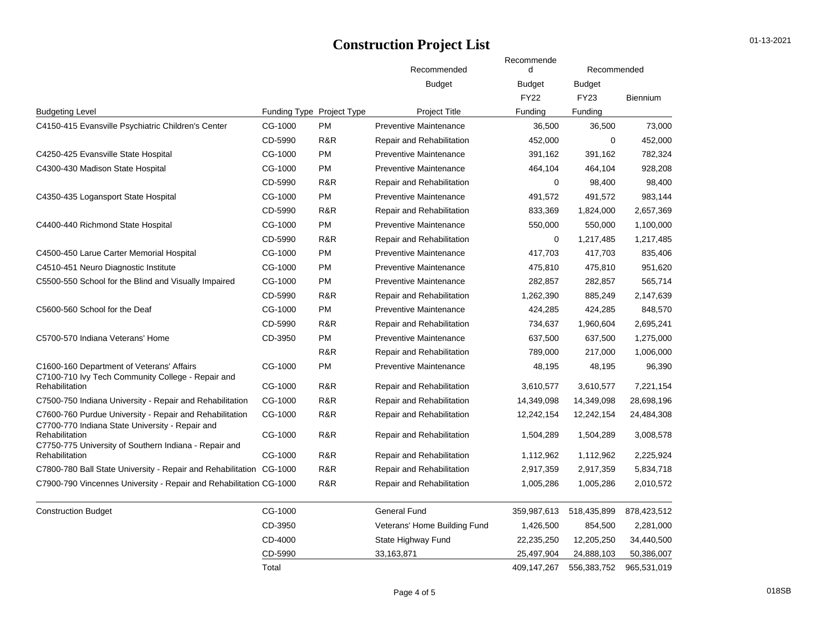|                                                                                                                                                                                       |                           |           | Recommended                      | Recommende<br>d | Recommended   |                 |  |
|---------------------------------------------------------------------------------------------------------------------------------------------------------------------------------------|---------------------------|-----------|----------------------------------|-----------------|---------------|-----------------|--|
|                                                                                                                                                                                       |                           |           | <b>Budget</b>                    | <b>Budget</b>   | <b>Budget</b> |                 |  |
|                                                                                                                                                                                       |                           |           |                                  | <b>FY22</b>     | FY23          | <b>Biennium</b> |  |
| <b>Budgeting Level</b>                                                                                                                                                                | Funding Type Project Type |           | <b>Project Title</b>             | Funding         | Funding       |                 |  |
| C4150-415 Evansville Psychiatric Children's Center                                                                                                                                    | CG-1000                   | <b>PM</b> | <b>Preventive Maintenance</b>    | 36,500          | 36,500        | 73,000          |  |
|                                                                                                                                                                                       | CD-5990                   | R&R       | Repair and Rehabilitation        | 452,000         | $\Omega$      | 452,000         |  |
| C4250-425 Evansville State Hospital                                                                                                                                                   | CG-1000                   | <b>PM</b> | <b>Preventive Maintenance</b>    | 391,162         | 391,162       | 782,324         |  |
| C4300-430 Madison State Hospital                                                                                                                                                      | CG-1000                   | <b>PM</b> | <b>Preventive Maintenance</b>    | 464,104         | 464,104       | 928,208         |  |
|                                                                                                                                                                                       | CD-5990                   | R&R       | Repair and Rehabilitation        | $\mathbf 0$     | 98,400        | 98,400          |  |
| C4350-435 Logansport State Hospital                                                                                                                                                   | CG-1000                   | <b>PM</b> | <b>Preventive Maintenance</b>    | 491,572         | 491,572       | 983,144         |  |
|                                                                                                                                                                                       | CD-5990                   | R&R       | Repair and Rehabilitation        | 833,369         | 1,824,000     | 2,657,369       |  |
| C4400-440 Richmond State Hospital                                                                                                                                                     | CG-1000                   | <b>PM</b> | <b>Preventive Maintenance</b>    | 550,000         | 550,000       | 1,100,000       |  |
|                                                                                                                                                                                       | CD-5990                   | R&R       | <b>Repair and Rehabilitation</b> | 0               | 1,217,485     | 1,217,485       |  |
| C4500-450 Larue Carter Memorial Hospital                                                                                                                                              | CG-1000                   | <b>PM</b> | <b>Preventive Maintenance</b>    | 417,703         | 417,703       | 835,406         |  |
| C4510-451 Neuro Diagnostic Institute                                                                                                                                                  | CG-1000                   | <b>PM</b> | Preventive Maintenance           | 475,810         | 475,810       | 951,620         |  |
| C5500-550 School for the Blind and Visually Impaired                                                                                                                                  | CG-1000                   | <b>PM</b> | <b>Preventive Maintenance</b>    | 282,857         | 282,857       | 565,714         |  |
|                                                                                                                                                                                       | CD-5990                   | R&R       | Repair and Rehabilitation        | 1,262,390       | 885,249       | 2,147,639       |  |
| C5600-560 School for the Deaf                                                                                                                                                         | CG-1000                   | <b>PM</b> | <b>Preventive Maintenance</b>    | 424,285         | 424,285       | 848,570         |  |
|                                                                                                                                                                                       | CD-5990                   | R&R       | Repair and Rehabilitation        | 734,637         | 1,960,604     | 2,695,241       |  |
| C5700-570 Indiana Veterans' Home                                                                                                                                                      | CD-3950                   | <b>PM</b> | <b>Preventive Maintenance</b>    | 637,500         | 637,500       | 1,275,000       |  |
|                                                                                                                                                                                       |                           | R&R       | Repair and Rehabilitation        | 789,000         | 217,000       | 1,006,000       |  |
| C1600-160 Department of Veterans' Affairs                                                                                                                                             | CG-1000                   | <b>PM</b> | <b>Preventive Maintenance</b>    | 48,195          | 48,195        | 96,390          |  |
| C7100-710 Ivy Tech Community College - Repair and<br>Rehabilitation                                                                                                                   | CG-1000                   | R&R       | Repair and Rehabilitation        | 3,610,577       | 3,610,577     | 7,221,154       |  |
| C7500-750 Indiana University - Repair and Rehabilitation                                                                                                                              | CG-1000                   | R&R       | Repair and Rehabilitation        | 14,349,098      | 14,349,098    | 28,698,196      |  |
| C7600-760 Purdue University - Repair and Rehabilitation<br>C7700-770 Indiana State University - Repair and<br>Rehabilitation<br>C7750-775 University of Southern Indiana - Repair and | CG-1000                   | R&R       | Repair and Rehabilitation        | 12,242,154      | 12,242,154    | 24,484,308      |  |
|                                                                                                                                                                                       | CG-1000                   | R&R       | Repair and Rehabilitation        | 1,504,289       | 1,504,289     | 3,008,578       |  |
| Rehabilitation                                                                                                                                                                        | CG-1000                   | R&R       | Repair and Rehabilitation        | 1,112,962       | 1,112,962     | 2,225,924       |  |
| C7800-780 Ball State University - Repair and Rehabilitation CG-1000                                                                                                                   |                           | R&R       | Repair and Rehabilitation        | 2,917,359       | 2,917,359     | 5,834,718       |  |
| C7900-790 Vincennes University - Repair and Rehabilitation CG-1000                                                                                                                    |                           | R&R       | Repair and Rehabilitation        | 1,005,286       | 1,005,286     | 2,010,572       |  |
| <b>Construction Budget</b>                                                                                                                                                            | CG-1000                   |           | General Fund                     | 359,987,613     | 518,435,899   | 878,423,512     |  |
|                                                                                                                                                                                       | CD-3950                   |           | Veterans' Home Building Fund     | 1,426,500       | 854,500       | 2,281,000       |  |
|                                                                                                                                                                                       | CD-4000                   |           | State Highway Fund               | 22,235,250      | 12,205,250    | 34,440,500      |  |
|                                                                                                                                                                                       | CD-5990                   |           | 33,163,871                       | 25,497,904      | 24,888,103    | 50,386,007      |  |
|                                                                                                                                                                                       | Total                     |           |                                  | 409,147,267     | 556,383,752   | 965,531,019     |  |